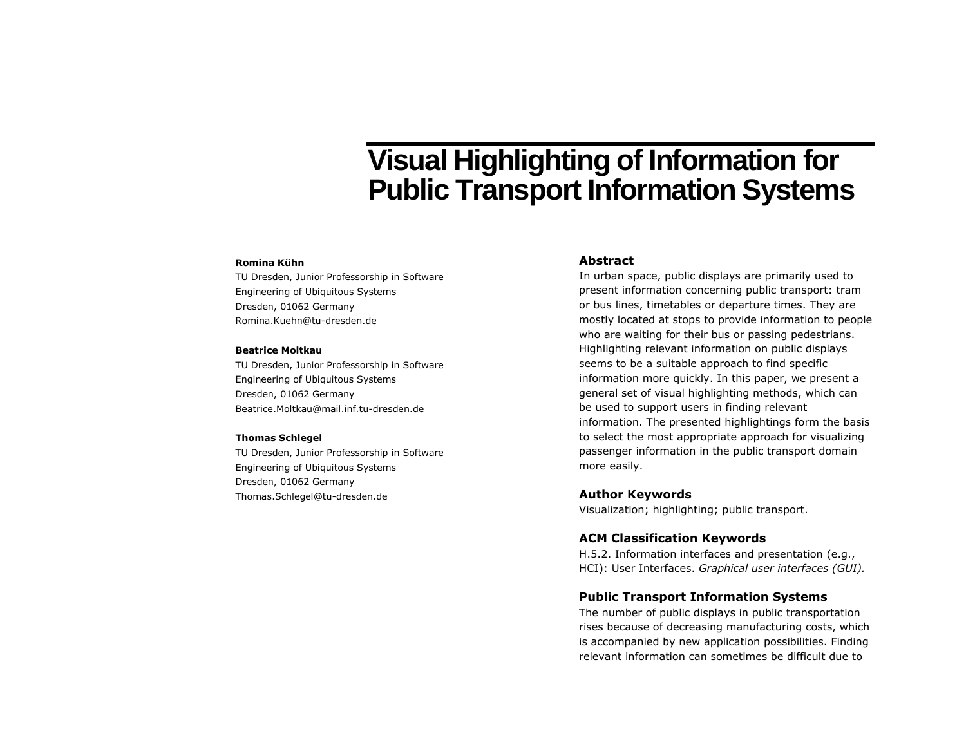# **Visual Highlighting of Information for Public Transport Information Systems**

#### **Romina Kühn**

TU Dresden, Junior Professorship in Software Engineering of Ubiquitous Systems Dresden, 01062 Germany Romina.Kuehn@tu-dresden.de

#### **Beatrice Moltkau**

TU Dresden, Junior Professorship in Software Engineering of Ubiquitous Systems Dresden, 01062 Germany Beatrice.Moltkau@mail.inf.tu-dresden.de

#### **Thomas Schlegel**

TU Dresden, Junior Professorship in Software Engineering of Ubiquitous Systems Dresden, 01062 Germany Thomas.Schlegel@tu-dresden.de

## **Abstract**

In urban space, public displays are primarily used to present information concerning public transport: tram or bus lines, timetables or departure times. They are mostly located at stops to provide information to people who are waiting for their bus or passing pedestrians. Highlighting relevant information on public displays seems to be a suitable approach to find specific information more quickly. In this paper, we present a general set of visual highlighting methods, which can be used to support users in finding relevant information. The presented highlightings form the basis to select the most appropriate approach for visualizing passenger information in the public transport domain more easily.

## **Author Keywords**

Visualization; highlighting; public transport.

#### **ACM Classification Keywords**

H.5.2. Information interfaces and presentation (e.g., HCI): User Interfaces. *Graphical user interfaces (GUI).*

#### **Public Transport Information Systems**

The number of public displays in public transportation rises because of decreasing manufacturing costs, which is accompanied by new application possibilities. Finding relevant information can sometimes be difficult due to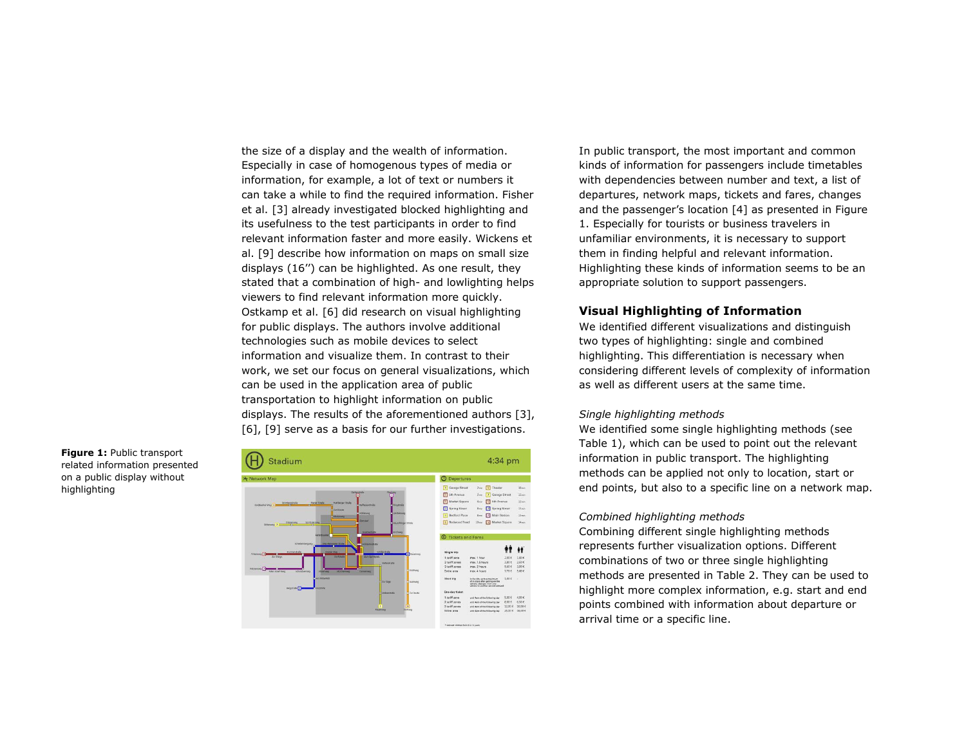the size of a display and the wealth of information. Especially in case of homogenous types of media or information, for example, a lot of text or numbers it can take a while to find the required information. Fisher et al. [\[3\]](#page-5-0) already investigated blocked highlighting and its usefulness to the test participants in order to find relevant information faster and more easily. Wickens et al. [\[9\]](#page-5-1) describe how information on maps on small size displays (16'') can be highlighted. As one result, they stated that a combination of high- and lowlighting helps viewers to find relevant information more quickly. Ostkamp et al. [\[6\]](#page-5-2) did research on visual highlighting for public displays. The authors involve additional technologies such as mobile devices to select information and visualize them. In contrast to their work, we set our focus on general visualizations, which can be used in the application area of public transportation to highlight information on public displays. The results of the aforementioned authors [\[3\],](#page-5-0) [\[6\],](#page-5-2) [\[9\]](#page-5-1) serve as a basis for our further investigations.

<span id="page-1-0"></span>**Figure 1:** Public transport related information presented on a public display without highlighting



In public transport, the most important and common kinds of information for passengers include timetables with dependencies between number and text, a list of departures, network maps, tickets and fares, changes and the passenger's location [\[4\]](#page-5-3) as presented in [Figure](#page-1-0)  [1.](#page-1-0) Especially for tourists or business travelers in unfamiliar environments, it is necessary to support them in finding helpful and relevant information. Highlighting these kinds of information seems to be an appropriate solution to support passengers.

## **Visual Highlighting of Information**

We identified different visualizations and distinguish two types of highlighting: single and combined highlighting. This differentiation is necessary when considering different levels of complexity of information as well as different users at the same time.

#### *Single highlighting methods*

We identified some single highlighting methods (see [Table 1\)](#page-2-0), which can be used to point out the relevant information in public transport. The highlighting methods can be applied not only to location, start or end points, but also to a specific line on a network map.

#### *Combined highlighting methods*

Combining different single highlighting methods represents further visualization options. Different combinations of two or three single highlighting methods are presented in [Table](#page-4-0) 2. They can be used to highlight more complex information, e.g. start and end points combined with information about departure or arrival time or a specific line.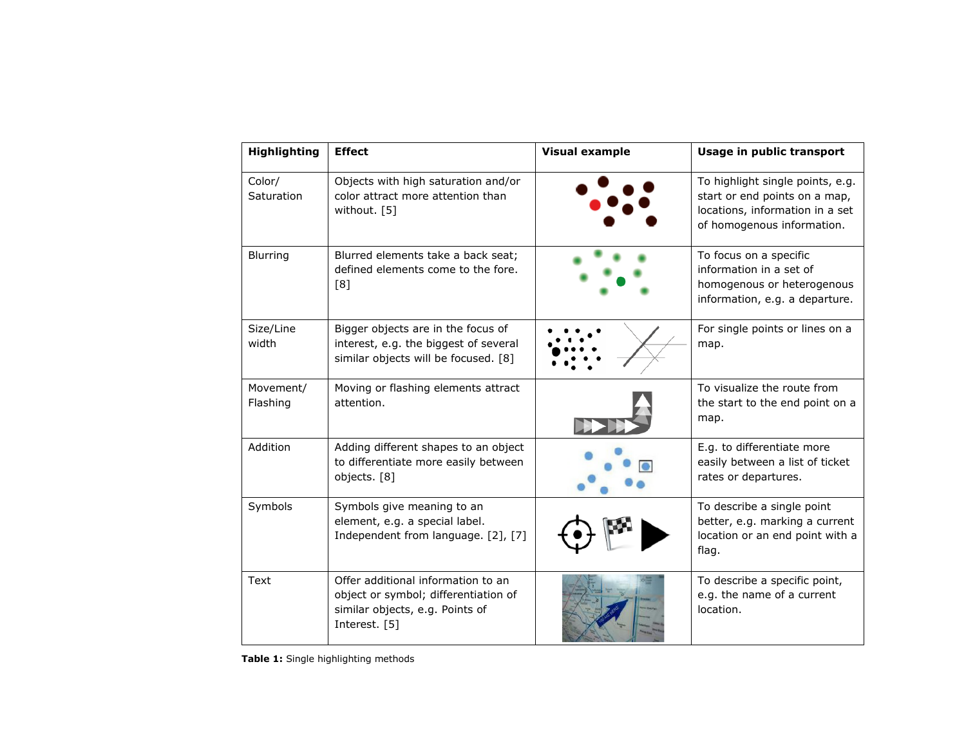| <b>Highlighting</b>   | <b>Effect</b>                                                                                                                  | <b>Visual example</b> | Usage in public transport                                                                                                          |
|-----------------------|--------------------------------------------------------------------------------------------------------------------------------|-----------------------|------------------------------------------------------------------------------------------------------------------------------------|
| Color/<br>Saturation  | Objects with high saturation and/or<br>color attract more attention than<br>without. [5]                                       |                       | To highlight single points, e.g.<br>start or end points on a map,<br>locations, information in a set<br>of homogenous information. |
| Blurring              | Blurred elements take a back seat;<br>defined elements come to the fore.<br>[8]                                                |                       | To focus on a specific<br>information in a set of<br>homogenous or heterogenous<br>information, e.g. a departure.                  |
| Size/Line<br>width    | Bigger objects are in the focus of<br>interest, e.g. the biggest of several<br>similar objects will be focused. [8]            |                       | For single points or lines on a<br>map.                                                                                            |
| Movement/<br>Flashing | Moving or flashing elements attract<br>attention.                                                                              |                       | To visualize the route from<br>the start to the end point on a<br>map.                                                             |
| Addition              | Adding different shapes to an object<br>to differentiate more easily between<br>objects. [8]                                   |                       | E.g. to differentiate more<br>easily between a list of ticket<br>rates or departures.                                              |
| Symbols               | Symbols give meaning to an<br>element, e.g. a special label.<br>Independent from language. [2], [7]                            |                       | To describe a single point<br>better, e.g. marking a current<br>location or an end point with a<br>flag.                           |
| Text                  | Offer additional information to an<br>object or symbol; differentiation of<br>similar objects, e.g. Points of<br>Interest. [5] |                       | To describe a specific point,<br>e.g. the name of a current<br>location.                                                           |

<span id="page-2-0"></span>**Table 1:** Single highlighting methods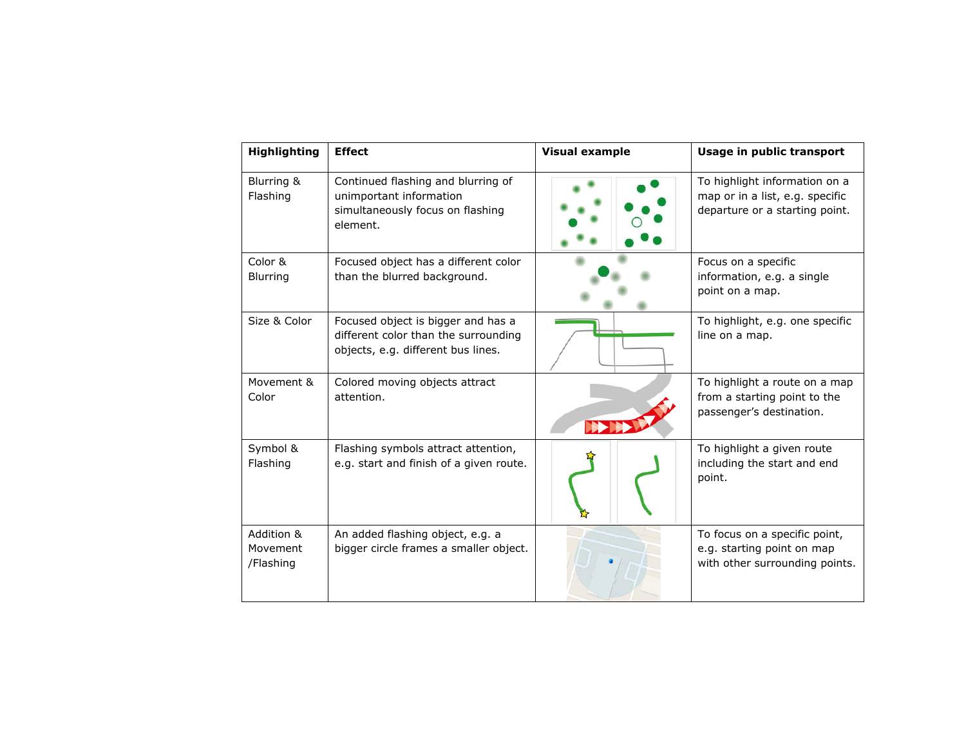| <b>Highlighting</b>                 | <b>Effect</b>                                                                                                    | <b>Visual example</b> | Usage in public transport                                                                          |
|-------------------------------------|------------------------------------------------------------------------------------------------------------------|-----------------------|----------------------------------------------------------------------------------------------------|
| Blurring &<br>Flashing              | Continued flashing and blurring of<br>unimportant information<br>simultaneously focus on flashing<br>element.    |                       | To highlight information on a<br>map or in a list, e.g. specific<br>departure or a starting point. |
| Color &<br><b>Blurring</b>          | Focused object has a different color<br>than the blurred background.                                             |                       | Focus on a specific<br>information, e.g. a single<br>point on a map.                               |
| Size & Color                        | Focused object is bigger and has a<br>different color than the surrounding<br>objects, e.g. different bus lines. |                       | To highlight, e.g. one specific<br>line on a map.                                                  |
| Movement &<br>Color                 | Colored moving objects attract<br>attention.                                                                     |                       | To highlight a route on a map<br>from a starting point to the<br>passenger's destination.          |
| Symbol &<br>Flashing                | Flashing symbols attract attention,<br>e.g. start and finish of a given route.                                   |                       | To highlight a given route<br>including the start and end<br>point.                                |
| Addition &<br>Movement<br>/Flashing | An added flashing object, e.g. a<br>bigger circle frames a smaller object.                                       |                       | To focus on a specific point,<br>e.g. starting point on map<br>with other surrounding points.      |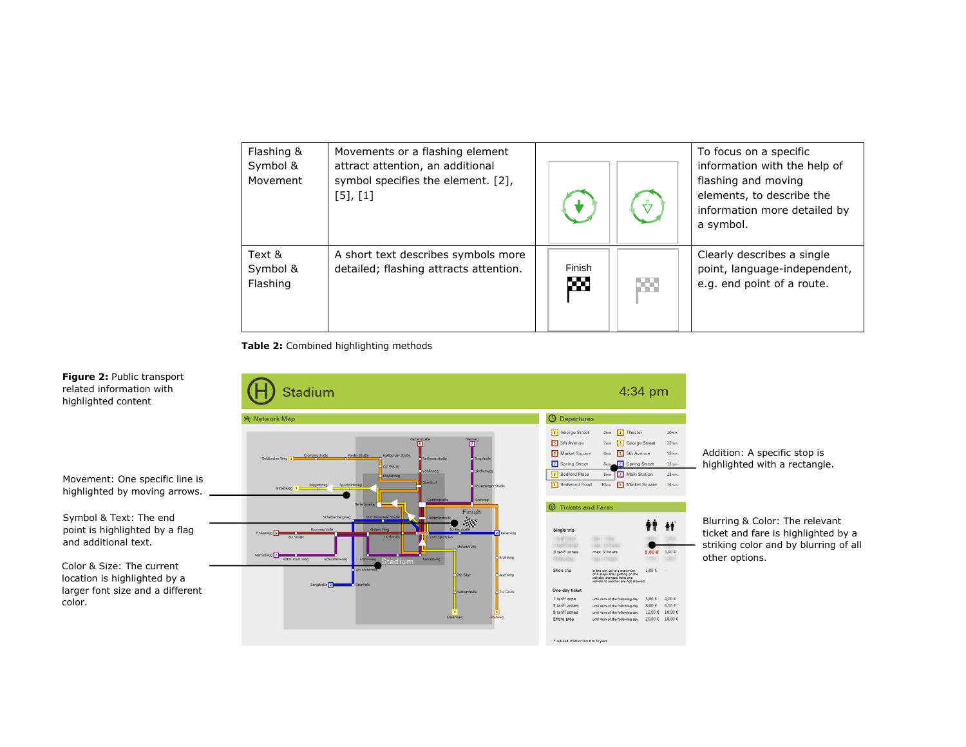| Flashing &<br>Symbol &<br>Movement | Movements or a flashing element<br>attract attention, an additional<br>symbol specifies the element. [2],<br>$[5]$ , $[1]$ |             |     | To focus on a specific<br>information with the help of<br>flashing and moving<br>elements, to describe the<br>information more detailed by<br>a symbol. |
|------------------------------------|----------------------------------------------------------------------------------------------------------------------------|-------------|-----|---------------------------------------------------------------------------------------------------------------------------------------------------------|
| Text &<br>Symbol &<br>Flashing     | A short text describes symbols more<br>detailed; flashing attracts attention.                                              | Finish<br>₩ | PM. | Clearly describes a single<br>point, language-independent,<br>e.g. end point of a route.                                                                |

<span id="page-4-0"></span>**Table 2:** Combined highlighting methods



Addition: A specific stop is highlighted with a rectangle.

Blurring & Color: The relevant ticket and fare is highlighted by a striking color and by blurring of all other options.

<span id="page-4-1"></span>**Figure 2:** Public transport related information with highlighted content

Movement: One specific line is highlighted by moving arrows.

Symbol & Text: The end point is highlighted by a flag and additional text.

Color & Size: The current location is highlighted by a larger font size and a different color.